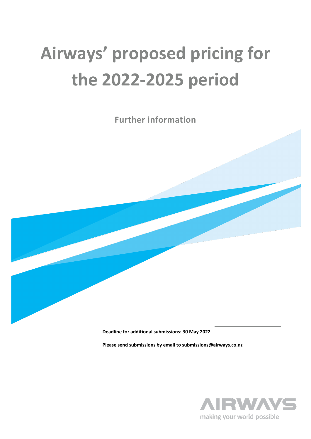# **Airways' proposed pricing for the 2022-2025 period**

**Further information**



**Deadline for additional submissions: 30 May 2022**

**Please send submissions by email to submissions@airways.co.nz**

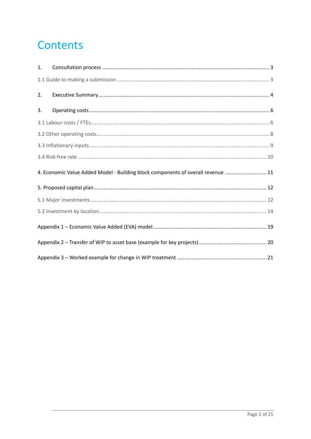# **Contents**

| $\mathbf{1}$ . |                                                                                  |
|----------------|----------------------------------------------------------------------------------|
|                |                                                                                  |
| 2.             |                                                                                  |
| 3.             |                                                                                  |
|                |                                                                                  |
|                |                                                                                  |
|                |                                                                                  |
|                |                                                                                  |
|                | 4. Economic Value Added Model - Building block components of overall revenue  11 |
|                |                                                                                  |
|                |                                                                                  |
|                |                                                                                  |
|                |                                                                                  |
|                |                                                                                  |
|                |                                                                                  |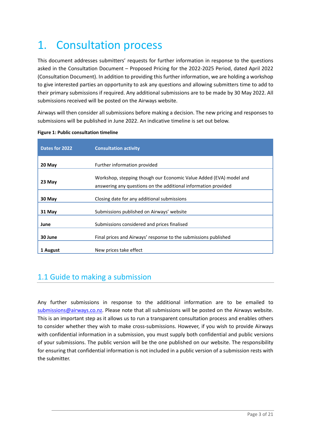# <span id="page-2-0"></span>1. Consultation process

This document addresses submitters' requests for further information in response to the questions asked in the Consultation Document – Proposed Pricing for the 2022-2025 Period, dated April 2022 (Consultation Document). In addition to providing this further information, we are holding a workshop to give interested parties an opportunity to ask any questions and allowing submitters time to add to their primary submissions if required. Any additional submissions are to be made by 30 May 2022. All submissions received will be posted on the Airways website.

Airways will then consider all submissions before making a decision. The new pricing and responses to submissions will be published in June 2022. An indicative timeline is set out below.

| Dates for 2022 | <b>Consultation activity</b>                                                                                                         |
|----------------|--------------------------------------------------------------------------------------------------------------------------------------|
| 20 May         | Further information provided                                                                                                         |
| 23 May         | Workshop, stepping though our Economic Value Added (EVA) model and<br>answering any questions on the additional information provided |
| 30 May         | Closing date for any additional submissions                                                                                          |
| 31 May         | Submissions published on Airways' website                                                                                            |
| June           | Submissions considered and prices finalised                                                                                          |
| 30 June        | Final prices and Airways' response to the submissions published                                                                      |
| 1 August       | New prices take effect                                                                                                               |

#### **Figure 1: Public consultation timeline**

### <span id="page-2-1"></span>1.1 Guide to making a submission

Any further submissions in response to the additional information are to be emailed to [submissions@airways.co.nz.](mailto:submissions@airways.co.nz) Please note that all submissions will be posted on the Airways website. This is an important step as it allows us to run a transparent consultation process and enables others to consider whether they wish to make cross-submissions. However, if you wish to provide Airways with confidential information in a submission, you must supply both confidential and public versions of your submissions. The public version will be the one published on our website. The responsibility for ensuring that confidential information is not included in a public version of a submission rests with the submitter.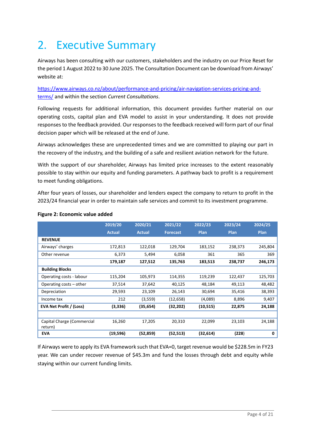# <span id="page-3-0"></span>2. Executive Summary

Airways has been consulting with our customers, stakeholders and the industry on our Price Reset for the period 1 August 2022 to 30 June 2025. The Consultation Document can be download from Airways' website at:

[https://www.airways.co.nz/about/performance-and-pricing/air-navigation-services-pricing-and](https://www.airways.co.nz/about/performance-and-pricing/air-navigation-services-pricing-and-terms/)[terms/](https://www.airways.co.nz/about/performance-and-pricing/air-navigation-services-pricing-and-terms/) and within the section *Current Consultations*.

Following requests for additional information, this document provides further material on our operating costs, capital plan and EVA model to assist in your understanding. It does not provide responses to the feedback provided. Our responses to the feedback received will form part of our final decision paper which will be released at the end of June.

Airways acknowledges these are unprecedented times and we are committed to playing our part in the recovery of the industry, and the building of a safe and resilient aviation network for the future.

With the support of our shareholder, Airways has limited price increases to the extent reasonably possible to stay within our equity and funding parameters. A pathway back to profit is a requirement to meet funding obligations.

After four years of losses, our shareholder and lenders expect the company to return to profit in the 2023/24 financial year in order to maintain safe services and commit to its investment programme.

|                                       | 2019/20       | 2020/21       | 2021/22         | 2022/23     | 2023/24     | 2024/25 |
|---------------------------------------|---------------|---------------|-----------------|-------------|-------------|---------|
|                                       | <b>Actual</b> | <b>Actual</b> | <b>Forecast</b> | <b>Plan</b> | <b>Plan</b> | Plan    |
| <b>REVENUE</b>                        |               |               |                 |             |             |         |
| Airways' charges                      | 172,813       | 122,018       | 129,704         | 183,152     | 238,373     | 245,804 |
| Other revenue                         | 6,373         | 5,494         | 6,058           | 361         | 365         | 369     |
|                                       | 179,187       | 127,512       | 135,763         | 183,513     | 238,737     | 246,173 |
| <b>Building Blocks</b>                |               |               |                 |             |             |         |
| Operating costs - labour              | 115,204       | 105,973       | 114,355         | 119,239     | 122,437     | 125,703 |
| Operating costs – other               | 37,514        | 37,642        | 40,125          | 48,184      | 49,113      | 48,482  |
| Depreciation                          | 29,593        | 23,109        | 26,143          | 30,694      | 35,416      | 38,393  |
| Income tax                            | 212           | (3,559)       | (12, 658)       | (4,089)     | 8,896       | 9,407   |
| EVA Net Profit / (Loss)               | (3,336)       | (35,654)      | (32, 202)       | (10, 515)   | 22,875      | 24,188  |
|                                       |               |               |                 |             |             |         |
| Capital Charge (Commercial<br>return) | 16,260        | 17,205        | 20,310          | 22,099      | 23,103      | 24,188  |
| <b>EVA</b>                            | (19, 596)     | (52, 859)     | (52, 513)       | (32, 614)   | (228)       | 0       |

#### **Figure 2: Economic value added**

If Airways were to apply its EVA framework such that EVA=0, target revenue would be \$228.5m in FY23 year. We can under recover revenue of \$45.3m and fund the losses through debt and equity while staying within our current funding limits.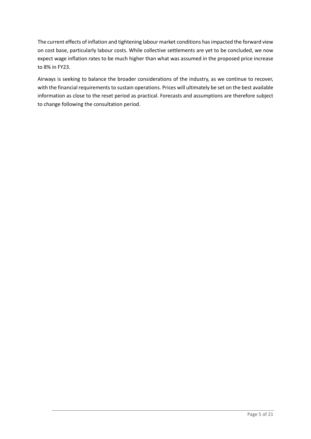The current effects of inflation and tightening labour market conditions has impacted the forward view on cost base, particularly labour costs. While collective settlements are yet to be concluded, we now expect wage inflation rates to be much higher than what was assumed in the proposed price increase to 8% in FY23.

Airways is seeking to balance the broader considerations of the industry, as we continue to recover, with the financial requirements to sustain operations. Prices will ultimately be set on the best available information as close to the reset period as practical. Forecasts and assumptions are therefore subject to change following the consultation period.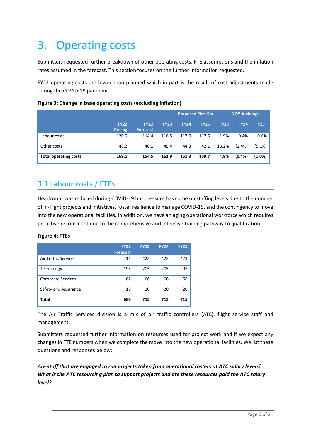# <span id="page-5-0"></span>3. Operating costs

Submitters requested further breakdown of other operating costs, FTE assumptions and the inflation rates assumed in the forecast. This section focuses on the further information requested.

FY22 operating costs are lower than planned which in part is the result of cost adjustments made during the COVID-19 pandemic.

|                              |                               |                                |             | <b>Proposed Plan \$m</b> |             | YOY % change |             |             |
|------------------------------|-------------------------------|--------------------------------|-------------|--------------------------|-------------|--------------|-------------|-------------|
|                              | <b>FY22</b><br><b>Pricing</b> | <b>FY22</b><br><b>Forecast</b> | <b>FY23</b> | <b>FY24</b>              | <b>FY25</b> | <b>FY23</b>  | <b>FY24</b> | <b>FY25</b> |
| Labour costs                 | 120.9                         | 114.4                          | 116.5       | 117.0                    | 117.6       | 1.9%         | 0.4%        | 0.6%        |
| Other costs                  | 48.2                          | 40.1                           | 45.4        | 44.3                     | 42.1        | 13.2%        | $(2.4\%)$   | $(5.1\%)$   |
| <b>Total operating costs</b> | 169.1                         | 154.5                          | 161.9       | 161.3                    | 159.7       | 4.8%         | $(0.4\%)$   | $(1.0\%)$   |

#### **Figure 3: Change in base operating costs (excluding inflation)**

### <span id="page-5-1"></span>3.1 Labour costs / FTEs

Headcount was reduced during COVID-19 but pressure has come on staffing levels due to the number of in-flight projects and initiatives, roster resilience to manage COVID-19, and the contingency to move into the new operational facilities. In addition, we have an aging operational workforce which requires proactive recruitment due to the comprehensive and intensive training pathway to qualification.

#### **Figure 4: FTEs**

|                             | <b>FY22</b><br><b>Forecast</b> | <b>FY23</b> | <b>FY24</b> | <b>FY25</b> |
|-----------------------------|--------------------------------|-------------|-------------|-------------|
| <b>Air Traffic Services</b> | 411                            | 423         | 423         | 423         |
| Technology                  | 195                            | 205         | 205         | 205         |
| Corporate Services          | 62                             | 66          | 66          | 66          |
| Safety and Assurance        | 18                             | 20          | 20          | 20          |
| Total                       | 686                            | 715         | 715         | 715         |

The Air Traffic Services division is a mix of air traffic controllers (ATC), flight service staff and management.

Submitters requested further information on resources used for project work and if we expect any changes in FTE numbers when we complete the move into the new operational facilities. We list these questions and responses below:

*Are staff that are engaged to run projects taken from operational rosters at ATC salary levels? What is the ATC resourcing plan to support projects and are these resources paid the ATC salary level?*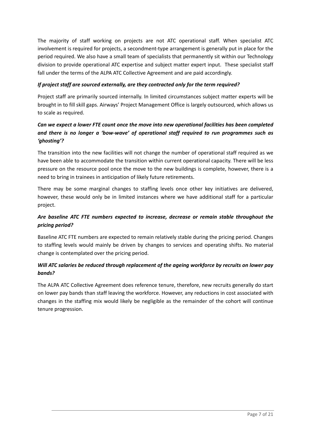The majority of staff working on projects are not ATC operational staff. When specialist ATC involvement is required for projects, a secondment-type arrangement is generally put in place for the period required. We also have a small team of specialists that permanently sit within our Technology division to provide operational ATC expertise and subject matter expert input. These specialist staff fall under the terms of the ALPA ATC Collective Agreement and are paid accordingly.

#### *If project staff are sourced externally, are they contracted only for the term required?*

Project staff are primarily sourced internally. In limited circumstances subject matter experts will be brought in to fill skill gaps. Airways' Project Management Office is largely outsourced, which allows us to scale as required.

#### *Can we expect a lower FTE count once the move into new operational facilities has been completed and there is no longer a 'bow-wave' of operational staff required to run programmes such as 'ghosting'?*

The transition into the new facilities will not change the number of operational staff required as we have been able to accommodate the transition within current operational capacity. There will be less pressure on the resource pool once the move to the new buildings is complete, however, there is a need to bring in trainees in anticipation of likely future retirements.

There may be some marginal changes to staffing levels once other key initiatives are delivered, however, these would only be in limited instances where we have additional staff for a particular project.

#### *Are baseline ATC FTE numbers expected to increase, decrease or remain stable throughout the pricing period?*

Baseline ATC FTE numbers are expected to remain relatively stable during the pricing period. Changes to staffing levels would mainly be driven by changes to services and operating shifts. No material change is contemplated over the pricing period.

#### *Will ATC salaries be reduced through replacement of the ageing workforce by recruits on lower pay bands?*

The ALPA ATC Collective Agreement does reference tenure, therefore, new recruits generally do start on lower pay bands than staff leaving the workforce. However, any reductions in cost associated with changes in the staffing mix would likely be negligible as the remainder of the cohort will continue tenure progression.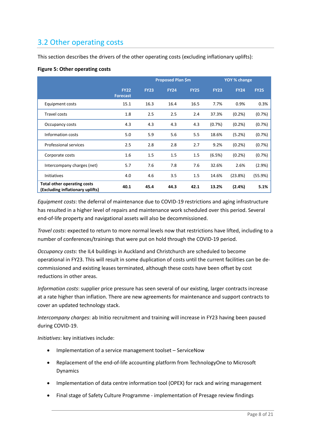### <span id="page-7-0"></span>3.2 Other operating costs

This section describes the drivers of the other operating costs (excluding inflationary uplifts):

#### **Figure 5: Other operating costs**

|                                                                 |                                | Proposed Plan \$m |             |             |             | YOY % change |             |  |  |
|-----------------------------------------------------------------|--------------------------------|-------------------|-------------|-------------|-------------|--------------|-------------|--|--|
|                                                                 | <b>FY22</b><br><b>Forecast</b> | <b>FY23</b>       | <b>FY24</b> | <b>FY25</b> | <b>FY23</b> | <b>FY24</b>  | <b>FY25</b> |  |  |
| Equipment costs                                                 | 15.1                           | 16.3              | 16.4        | 16.5        | 7.7%        | 0.9%         | 0.3%        |  |  |
| Travel costs                                                    | 1.8                            | 2.5               | 2.5         | 2.4         | 37.3%       | (0.2%        | (0.7%)      |  |  |
| Occupancy costs                                                 | 4.3                            | 4.3               | 4.3         | 4.3         | (0.7%)      | $(0.2\%)$    | (0.7%)      |  |  |
| Information costs                                               | 5.0                            | 5.9               | 5.6         | 5.5         | 18.6%       | (5.2%)       | (0.7%)      |  |  |
| Professional services                                           | 2.5                            | 2.8               | 2.8         | 2.7         | 9.2%        | $(0.2\%)$    | (0.7%)      |  |  |
| Corporate costs                                                 | 1.6                            | 1.5               | 1.5         | 1.5         | (6.5%)      | (0.2%        | (0.7%)      |  |  |
| Intercompany charges (net)                                      | 5.7                            | 7.6               | 7.8         | 7.6         | 32.6%       | 2.6%         | (2.9%)      |  |  |
| <b>Initiatives</b>                                              | 4.0                            | 4.6               | 3.5         | 1.5         | 14.6%       | (23.8%)      | (55.9%)     |  |  |
| Total other operating costs<br>(Excluding inflationary uplifts) | 40.1                           | 45.4              | 44.3        | 42.1        | 13.2%       | (2.4%)       | 5.1%        |  |  |

*Equipment costs*: the deferral of maintenance due to COVID-19 restrictions and aging infrastructure has resulted in a higher level of repairs and maintenance work scheduled over this period. Several end-of-life property and navigational assets will also be decommissioned.

*Travel costs*: expected to return to more normal levels now that restrictions have lifted, including to a number of conferences/trainings that were put on hold through the COVID-19 period.

*Occupancy costs*: the IL4 buildings in Auckland and Christchurch are scheduled to become operational in FY23. This will result in some duplication of costs until the current facilities can be decommissioned and existing leases terminated, although these costs have been offset by cost reductions in other areas.

*Information costs*: supplier price pressure has seen several of our existing, larger contracts increase at a rate higher than inflation. There are new agreements for maintenance and support contracts to cover an updated technology stack.

*Intercompany charges*: ab Initio recruitment and training will increase in FY23 having been paused during COVID-19.

*Initiatives*: key initiatives include:

- Implementation of a service management toolset ServiceNow
- Replacement of the end-of-life accounting platform from TechnologyOne to Microsoft Dynamics
- Implementation of data centre information tool (OPEX) for rack and wiring management
- Final stage of Safety Culture Programme implementation of Presage review findings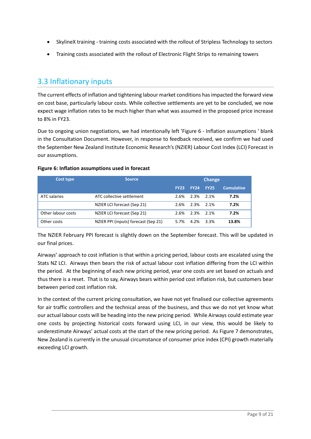- SkylineX training training costs associated with the rollout of Stripless Technology to sectors
- Training costs associated with the rollout of Electronic Flight Strips to remaining towers

### <span id="page-8-0"></span>3.3 Inflationary inputs

The current effects of inflation and tightening labour market conditions has impacted the forward view on cost base, particularly labour costs. While collective settlements are yet to be concluded, we now expect wage inflation rates to be much higher than what was assumed in the proposed price increase to 8% in FY23.

Due to ongoing union negotiations, we had intentionally left 'Figure 6 - Inflation assumptions ' blank in the Consultation Document. However, in response to feedback received, we confirm we had used the September New Zealand Institute Economic Research's (NZIER) Labour Cost Index (LCI) Forecast in our assumptions.

| Figure 6: Inflation assumptions used in forecast |  |
|--------------------------------------------------|--|
|--------------------------------------------------|--|

| Cost type          | <b>Source</b>                        |             |             | Change      |                   |  |
|--------------------|--------------------------------------|-------------|-------------|-------------|-------------------|--|
|                    |                                      | <b>FY23</b> | <b>FY24</b> | <b>FY25</b> | <b>Cumulative</b> |  |
| ATC salaries       | ATC collective settlement            | 2.6%        | 2.3%        | 2.1%        | 7.2%              |  |
|                    | NZIER LCI forecast (Sep 21)          | 2.6%        | 2.3%        | 2.1%        | 7.2%              |  |
| Other labour costs | NZIER LCI forecast (Sep 21)          | 2.6%        | 2.3%        | 2.1%        | 7.2%              |  |
| Other costs        | NZIER PPI (inputs) forecast (Sep 21) | 5.7%        | 4.2%        | 3.3%        | 13.8%             |  |

The NZIER February PPI forecast is slightly down on the September forecast. This will be updated in our final prices.

Airways' approach to cost inflation is that within a pricing period, labour costs are escalated using the Stats NZ LCI. Airways then bears the risk of actual labour cost inflation differing from the LCI within the period. At the beginning of each new pricing period, year one costs are set based on actuals and thus there is a reset. That is to say, Airways bears within period cost inflation risk, but customers bear between period cost inflation risk.

In the context of the current pricing consultation, we have not yet finalised our collective agreements for air traffic controllers and the technical areas of the business, and thus we do not yet know what our actual labour costs will be heading into the new pricing period. While Airways could estimate year one costs by projecting historical costs forward using LCI, in our view, this would be likely to underestimate Airways' actual costs at the start of the new pricing period. As Figure 7 demonstrates, New Zealand is currently in the unusual circumstance of consumer price index (CPI) growth materially exceeding LCI growth.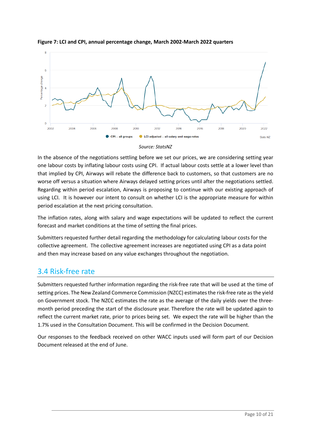



*Source: StatsNZ*

In the absence of the negotiations settling before we set our prices, we are considering setting year one labour costs by inflating labour costs using CPI. If actual labour costs settle at a lower level than that implied by CPI, Airways will rebate the difference back to customers, so that customers are no worse off versus a situation where Airways delayed setting prices until after the negotiations settled. Regarding within period escalation, Airways is proposing to continue with our existing approach of using LCI. It is however our intent to consult on whether LCI is the appropriate measure for within period escalation at the next pricing consultation.

The inflation rates, along with salary and wage expectations will be updated to reflect the current forecast and market conditions at the time of setting the final prices.

Submitters requested further detail regarding the methodology for calculating labour costs for the collective agreement. The collective agreement increases are negotiated using CPI as a data point and then may increase based on any value exchanges throughout the negotiation.

### <span id="page-9-0"></span>3.4 Risk-free rate

Submitters requested further information regarding the risk-free rate that will be used at the time of setting prices. The New Zealand Commerce Commission (NZCC) estimates the risk-free rate as the yield on Government stock. The NZCC estimates the rate as the average of the daily yields over the threemonth period preceding the start of the disclosure year. Therefore the rate will be updated again to reflect the current market rate, prior to prices being set. We expect the rate will be higher than the 1.7% used in the Consultation Document. This will be confirmed in the Decision Document.

Our responses to the feedback received on other WACC inputs used will form part of our Decision Document released at the end of June.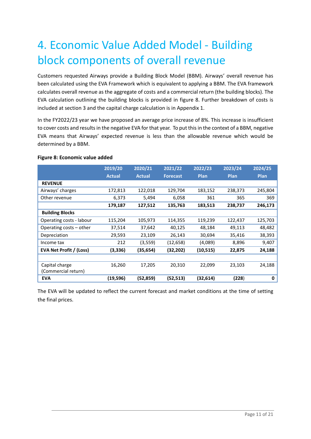# <span id="page-10-0"></span>4. Economic Value Added Model - Building block components of overall revenue

Customers requested Airways provide a Building Block Model (BBM). Airways' overall revenue has been calculated using the EVA Framework which is equivalent to applying a BBM. The EVA framework calculates overall revenue as the aggregate of costs and a commercial return (the building blocks). The EVA calculation outlining the building blocks is provided in figure 8. Further breakdown of costs is included at section 3 and the capital charge calculation is in Appendix 1.

In the FY2022/23 year we have proposed an average price increase of 8%. This increase is insufficient to cover costs and results in the negative EVA for that year. To put this in the context of a BBM, negative EVA means that Airways' expected revenue is less than the allowable revenue which would be determined by a BBM.

|                          | 2019/20       | 2020/21       | 2021/22         | 2022/23   | 2023/24     | 2024/25     |
|--------------------------|---------------|---------------|-----------------|-----------|-------------|-------------|
|                          | <b>Actual</b> | <b>Actual</b> | <b>Forecast</b> | Plan      | <b>Plan</b> | <b>Plan</b> |
| <b>REVENUE</b>           |               |               |                 |           |             |             |
| Airways' charges         | 172,813       | 122,018       | 129,704         | 183,152   | 238,373     | 245,804     |
| Other revenue            | 6,373         | 5,494         | 6,058           | 361       | 365         | 369         |
|                          | 179,187       | 127,512       | 135,763         | 183,513   | 238,737     | 246,173     |
| <b>Building Blocks</b>   |               |               |                 |           |             |             |
| Operating costs - labour | 115,204       | 105,973       | 114,355         | 119,239   | 122,437     | 125,703     |
| Operating costs – other  | 37,514        | 37,642        | 40,125          | 48,184    | 49,113      | 48,482      |
| Depreciation             | 29,593        | 23,109        | 26,143          | 30,694    | 35,416      | 38,393      |
| Income tax               | 212           | (3,559)       | (12, 658)       | (4,089)   | 8,896       | 9,407       |
| EVA Net Profit / (Loss)  | (3, 336)      | (35, 654)     | (32,202)        | (10, 515) | 22,875      | 24,188      |
|                          |               |               |                 |           |             |             |
| Capital charge           | 16,260        | 17,205        | 20,310          | 22,099    | 23,103      | 24,188      |
| (Commercial return)      |               |               |                 |           |             |             |
| <b>EVA</b>               | (19, 596)     | (52,859)      | (52, 513)       | (32, 614) | (228)       | 0           |

#### **Figure 8: Economic value added**

The EVA will be updated to reflect the current forecast and market conditions at the time of setting the final prices.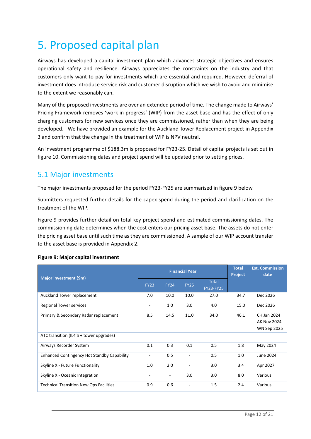# <span id="page-11-0"></span>5. Proposed capital plan

Airways has developed a capital investment plan which advances strategic objectives and ensures operational safety and resilience. Airways appreciates the constraints on the industry and that customers only want to pay for investments which are essential and required. However, deferral of investment does introduce service risk and customer disruption which we wish to avoid and minimise to the extent we reasonably can.

Many of the proposed investments are over an extended period of time. The change made to Airways' Pricing Framework removes 'work-in-progress' (WIP) from the asset base and has the effect of only charging customers for new services once they are commissioned, rather than when they are being developed. We have provided an example for the Auckland Tower Replacement project in Appendix 3 and confirm that the change in the treatment of WIP is NPV neutral.

An investment programme of \$188.3m is proposed for FY23-25. Detail of capital projects is set out in figure 10. Commissioning dates and project spend will be updated prior to setting prices.

### <span id="page-11-1"></span>5.1 Major investments

The major investments proposed for the period FY23-FY25 are summarised in figure 9 below.

Submitters requested further details for the capex spend during the period and clarification on the treatment of the WIP.

Figure 9 provides further detail on total key project spend and estimated commissioning dates. The commissioning date determines when the cost enters our pricing asset base. The assets do not enter the pricing asset base until such time as they are commissioned. A sample of our WIP account transfer to the asset base is provided in Appendix 2.

#### **Figure 9: Major capital investment**

| Major investment (\$m)                             |                | <b>Financial Year</b> | <b>Total</b><br><b>Project</b> | <b>Est. Commission</b><br>date   |      |                                                         |
|----------------------------------------------------|----------------|-----------------------|--------------------------------|----------------------------------|------|---------------------------------------------------------|
|                                                    | <b>FY23</b>    | <b>FY24</b>           | <b>FY25</b>                    | <b>Total</b><br><b>FY23-FY25</b> |      |                                                         |
| Auckland Tower replacement                         | 7.0            | 10.0                  | 10.0                           | 27.0                             | 34.7 | Dec 2026                                                |
| <b>Regional Tower services</b>                     |                | 1.0                   | 3.0                            | 4.0                              | 15.0 | Dec 2026                                                |
| Primary & Secondary Radar replacement              | 8.5            | 14.5                  | 11.0                           | 34.0                             | 46.1 | CH Jan 2024<br><b>AK Nov 2024</b><br><b>WN Sep 2025</b> |
| ATC transition (IL4'S + tower upgrades)            |                |                       |                                |                                  |      |                                                         |
| Airways Recorder System                            | 0.1            | 0.3                   | 0.1                            | 0.5                              | 1.8  | May 2024                                                |
| <b>Enhanced Contingency Hot Standby Capability</b> | $\overline{a}$ | 0.5                   | ٠                              | 0.5                              | 1.0  | June 2024                                               |
| Skyline X - Future Functionality                   | 1.0            | 2.0                   |                                | 3.0                              | 3.4  | Apr 2027                                                |
| Skyline X - Oceanic Integration                    |                | $\overline{a}$        | 3.0                            | 3.0                              | 8.0  | Various                                                 |
| <b>Technical Transition New Ops Facilities</b>     | 0.9            | 0.6                   |                                | 1.5                              | 2.4  | Various                                                 |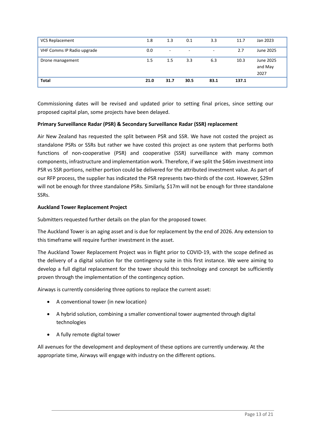| <b>VCS Replacement</b>     | 1.8  | 1.3                      | 0.1                      | 3.3  | 11.7  | Jan 2023                     |
|----------------------------|------|--------------------------|--------------------------|------|-------|------------------------------|
| VHF Comms IP Radio upgrade | 0.0  | $\overline{\phantom{a}}$ | $\overline{\phantom{a}}$ | ٠    | 2.7   | June 2025                    |
| Drone management           | 1.5  | 1.5                      | 3.3                      | 6.3  | 10.3  | June 2025<br>and May<br>2027 |
| <b>Total</b>               | 21.0 | 31.7                     | 30.5                     | 83.1 | 137.1 |                              |

Commissioning dates will be revised and updated prior to setting final prices, since setting our proposed capital plan, some projects have been delayed.

#### **Primary Surveillance Radar (PSR) & Secondary Surveillance Radar (SSR) replacement**

Air New Zealand has requested the split between PSR and SSR. We have not costed the project as standalone PSRs or SSRs but rather we have costed this project as one system that performs both functions of non-cooperative (PSR) and cooperative (SSR) surveillance with many common components, infrastructure and implementation work. Therefore, if we split the \$46m investment into PSR vs SSR portions, neither portion could be delivered for the attributed investment value. As part of our RFP process, the supplier has indicated the PSR represents two-thirds of the cost. However, \$29m will not be enough for three standalone PSRs. Similarly, \$17m will not be enough for three standalone SSRs.

#### **Auckland Tower Replacement Project**

Submitters requested further details on the plan for the proposed tower.

The Auckland Tower is an aging asset and is due for replacement by the end of 2026. Any extension to this timeframe will require further investment in the asset.

The Auckland Tower Replacement Project was in flight prior to COVID-19, with the scope defined as the delivery of a digital solution for the contingency suite in this first instance. We were aiming to develop a full digital replacement for the tower should this technology and concept be sufficiently proven through the implementation of the contingency option.

Airways is currently considering three options to replace the current asset:

- A conventional tower (in new location)
- A hybrid solution, combining a smaller conventional tower augmented through digital technologies
- A fully remote digital tower

All avenues for the development and deployment of these options are currently underway. At the appropriate time, Airways will engage with industry on the different options.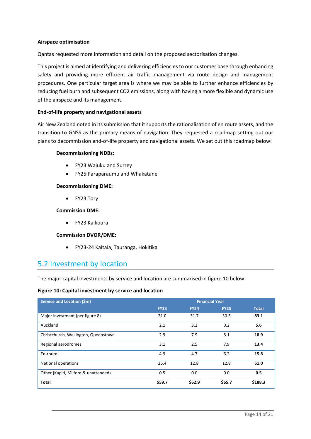#### **Airspace optimisation**

Qantas requested more information and detail on the proposed sectorisation changes.

This project is aimed at identifying and delivering efficiencies to our customer base through enhancing safety and providing more efficient air traffic management via route design and management procedures. One particular target area is where we may be able to further enhance efficiencies by reducing fuel burn and subsequent CO2 emissions, along with having a more flexible and dynamic use of the airspace and its management.

#### **End-of-life property and navigational assets**

Air New Zealand noted in its submission that it supports the rationalisation of en route assets, and the transition to GNSS as the primary means of navigation. They requested a roadmap setting out our plans to decommission end-of-life property and navigational assets. We set out this roadmap below:

#### **Decommissioning NDBs:**

- FY23 Waiuku and Surrey
- FY25 Paraparaumu and Whakatane

#### **Decommissioning DME:**

• FY23 Tory

#### **Commission DME:**

• FY23 Kaikoura

#### **Commission DVOR/DME:**

• FY23-24 Kaitaia, Tauranga, Hokitika

### <span id="page-13-0"></span>5.2 Investment by location

The major capital investments by service and location are summarised in figure 10 below:

#### **Figure 10: Capital investment by service and location**

| <b>Service and Location (\$m)</b>    | <b>Financial Year</b> |             |             |              |  |  |
|--------------------------------------|-----------------------|-------------|-------------|--------------|--|--|
|                                      | <b>FY23</b>           | <b>FY24</b> | <b>FY25</b> | <b>Total</b> |  |  |
| Major investment (per figure 8)      | 21.0                  | 31.7        | 30.5        | 83.1         |  |  |
| Auckland                             | 2.1                   | 3.2         | 0.2         | 5.6          |  |  |
| Christchurch, Wellington, Queenstown | 2.9                   | 7.9         | 8.1         | 18.9         |  |  |
| Regional aerodromes                  | 3.1                   | 2.5         | 7.9         | 13.4         |  |  |
| En-route                             | 4.9                   | 4.7         | 6.2         | 15.8         |  |  |
| <b>National operations</b>           | 25.4                  | 12.8        | 12.8        | 51.0         |  |  |
| Other (Kapiti, Milford & unattended) | 0.5                   | 0.0         | 0.0         | 0.5          |  |  |
| <b>Total</b>                         | \$59.7                | \$62.9      | \$65.7      | \$188.3      |  |  |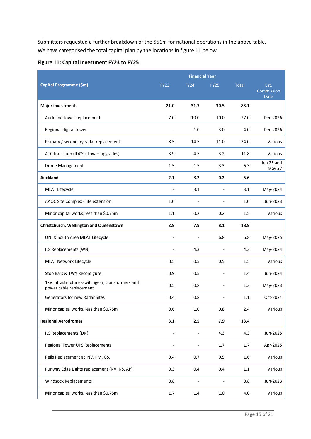Submitters requested a further breakdown of the \$51m for national operations in the above table. We have categorised the total capital plan by the locations in figure 11 below.

| Capital Programme (\$m)                                                     | <b>FY23</b>                  | <b>FY24</b> | <b>FY25</b> | <b>Total</b> | Est.<br>Commission<br><b>Date</b> |
|-----------------------------------------------------------------------------|------------------------------|-------------|-------------|--------------|-----------------------------------|
| <b>Major investments</b>                                                    | 21.0                         | 31.7        | 30.5        | 83.1         |                                   |
| Auckland tower replacement                                                  | 7.0                          | 10.0        | 10.0        | 27.0         | Dec-2026                          |
| Regional digital tower                                                      |                              | 1.0         | 3.0         | 4.0          | Dec-2026                          |
| Primary / secondary radar replacement                                       | 8.5                          | 14.5        | 11.0        | 34.0         | Various                           |
| ATC transition (IL4'S + tower upgrades)                                     | 3.9                          | 4.7         | 3.2         | 11.8         | Various                           |
| Drone Management                                                            | 1.5                          | 1.5         | 3.3         | 6.3          | Jun 25 and<br>May 27              |
| Auckland                                                                    | 2.1                          | 3.2         | 0.2         | 5.6          |                                   |
| <b>MLAT Lifecycle</b>                                                       |                              | 3.1         | ä,          | 3.1          | May-2024                          |
| AAOC Site Complex - life extension                                          | 1.0                          |             |             | 1.0          | Jun-2023                          |
| Minor capital works, less than \$0.75m                                      | 1.1                          | 0.2         | 0.2         | 1.5          | Various                           |
| Christchurch, Wellington and Queenstown                                     | 2.9                          | 7.9         | 8.1         | 18.9         |                                   |
| QN & South Area MLAT Lifecycle                                              | -                            |             | 6.8         | 6.8          | May-2025                          |
| ILS Replacements (WN)                                                       |                              | 4.3         |             | 4.3          | May-2024                          |
| MLAT Network Lifecycle                                                      | 0.5                          | 0.5         | 0.5         | 1.5          | Various                           |
| Stop Bars & TWY Reconfigure                                                 | 0.9                          | 0.5         |             | 1.4          | Jun-2024                          |
| 1kV Infrastructure -Switchgear, transformers and<br>power cable replacement | 0.5                          | 0.8         |             | 1.3          | May-2023                          |
| Generators for new Radar Sites                                              | 0.4                          | 0.8         |             | 1.1          | Oct-2024                          |
| Minor capital works, less than \$0.75m                                      | 0.6                          | 1.0         | 0.8         | 2.4          | Various                           |
| <b>Regional Aerodromes</b>                                                  | 3.1                          | 2.5         | 7.9         | 13.4         |                                   |
| ILS Replacements (DN)                                                       |                              |             | 4.3         | 4.3          | Jun-2025                          |
| Regional Tower UPS Replacements                                             | $\qquad \qquad \blacksquare$ | Ĭ.          | 1.7         | 1.7          | Apr-2025                          |
| Reils Replacement at NV, PM, GS,                                            | 0.4                          | 0.7         | 0.5         | 1.6          | Various                           |
| Runway Edge Lights replacement (NV, NS, AP)                                 | 0.3                          | 0.4         | 0.4         | $1.1\,$      | Various                           |
| <b>Windsock Replacements</b>                                                | 0.8                          |             |             | 0.8          | Jun-2023                          |
| Minor capital works, less than \$0.75m                                      | $1.7\,$                      | $1.4\,$     | $1.0\,$     | 4.0          | Various                           |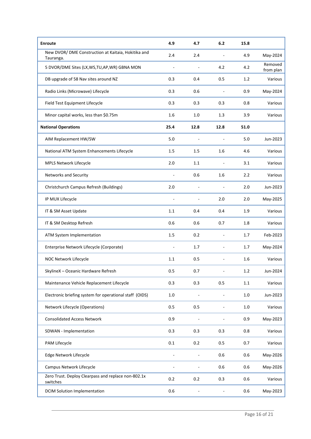| <b>Enroute</b>                                                   | 4.9            | 4.7                      | 6.2                      | 15.8    |                      |
|------------------------------------------------------------------|----------------|--------------------------|--------------------------|---------|----------------------|
| New DVOR/ DME Construction at Kaitaia, Hokitika and<br>Tauranga. | 2.4            | 2.4                      |                          | 4.9     | May-2024             |
| 5 DVOR/DME Sites (LX, WS, TU, AP, WR) GBNA MON                   |                |                          | 4.2                      | 4.2     | Removed<br>from plan |
| DB upgrade of 58 Nav sites around NZ                             | 0.3            | 0.4                      | 0.5                      | 1.2     | Various              |
| Radio Links (Microwave) Lifecycle                                | 0.3            | 0.6                      | $\overline{a}$           | 0.9     | May-2024             |
| Field Test Equipment Lifecycle                                   | 0.3            | 0.3                      | 0.3                      | 0.8     | Various              |
| Minor capital works, less than \$0.75m                           | 1.6            | 1.0                      | 1.3                      | 3.9     | Various              |
| <b>National Operations</b>                                       | 25.4           | 12.8                     | 12.8                     | 51.0    |                      |
| AIM Replacement HW/SW                                            | 5.0            |                          |                          | 5.0     | Jun-2023             |
| National ATM System Enhancements Lifecycle                       | 1.5            | 1.5                      | 1.6                      | 4.6     | Various              |
| MPLS Network Lifecycle                                           | 2.0            | 1.1                      | ÷                        | 3.1     | Various              |
| Networks and Security                                            |                | 0.6                      | 1.6                      | 2.2     | Various              |
| Christchurch Campus Refresh (Buildings)                          | 2.0            | $\overline{\phantom{a}}$ | ä,                       | 2.0     | Jun-2023             |
| IP MUX Lifecycle                                                 |                |                          | 2.0                      | 2.0     | May-2025             |
| IT & SM Asset Update                                             | 1.1            | 0.4                      | 0.4                      | 1.9     | Various              |
| IT & SM Desktop Refresh                                          | 0.6            | 0.6                      | 0.7                      | 1.8     | Various              |
| ATM System Implementation                                        | 1.5            | 0.2                      | $\overline{\phantom{a}}$ | 1.7     | Feb-2023             |
| Enterprise Network Lifecycle (Corporate)                         |                | 1.7                      |                          | 1.7     | May-2024             |
| NOC Network Lifecycle                                            | 1.1            | 0.5                      |                          | 1.6     | Various              |
| SkylineX - Oceanic Hardware Refresh                              | 0.5            | 0.7                      |                          | $1.2\,$ | Jun-2024             |
| Maintenance Vehicle Replacement Lifecycle                        | 0.3            | 0.3                      | 0.5                      | $1.1\,$ | Various              |
| Electronic briefing system for operational staff (OIDS)          | $1.0\,$        |                          | ÷,                       | $1.0\,$ | Jun-2023             |
| Network Lifecycle (Operations)                                   | 0.5            | 0.5                      | $\blacksquare$           | 1.0     | Various              |
| <b>Consolidated Access Network</b>                               | 0.9            |                          |                          | 0.9     | May-2023             |
| SDWAN - Implementation                                           | 0.3            | 0.3                      | 0.3                      | 0.8     | Various              |
| PAM Lifecycle                                                    | 0.1            | 0.2                      | 0.5                      | 0.7     | Various              |
| Edge Network Lifecycle                                           |                |                          | 0.6                      | 0.6     | May-2026             |
| Campus Network Lifecycle                                         | $\blacksquare$ | ÷,                       | 0.6                      | 0.6     | May-2026             |
| Zero Trust. Deploy Clearpass and replace non-802.1x<br>switches  | 0.2            | 0.2                      | 0.3                      | 0.6     | Various              |
| <b>DCIM Solution Implementation</b>                              | 0.6            |                          |                          | 0.6     | May-2023             |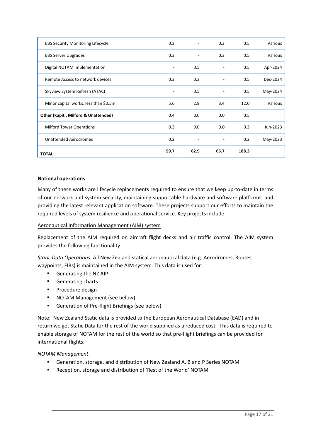| <b>TOTAL</b>                                    | 59.7           | 62.9                     | 65.7                     | 188.3 |          |
|-------------------------------------------------|----------------|--------------------------|--------------------------|-------|----------|
| <b>Unattended Aerodromes</b>                    | 0.2            |                          | $\overline{a}$           | 0.2   | May-2023 |
| <b>Milford Tower Operations</b>                 | 0.3            | 0.0                      | 0.0                      | 0.3   | Jun-2023 |
| <b>Other (Kapiti, Milford &amp; Unattended)</b> | 0.4            | 0.0                      | 0.0                      | 0.5   |          |
| Minor capital works, less than \$0.5m           | 5.6            | 2.9                      | 3.4                      | 12.0  | Various  |
| Skyview System Refresh (ATAC)                   | $\overline{a}$ | 0.5                      | $\overline{\phantom{a}}$ | 0.5   | May-2024 |
| Remote Access to network devices                | 0.3            | 0.3                      | ٠                        | 0.5   | Dec-2024 |
| Digital NOTAM Implementation                    | ٠              | 0.5                      | ۰                        | 0.5   | Apr-2024 |
| <b>EBS Server Upgrades</b>                      | 0.3            | $\overline{\phantom{a}}$ | 0.3                      | 0.5   | Various  |
| <b>EBS Security Monitoring Lifecycle</b>        | 0.3            |                          | 0.3                      | 0.5   | Various  |

#### **National operations**

Many of these works are lifecycle replacements required to ensure that we keep up-to-date in terms of our network and system security, maintaining supportable hardware and software platforms, and providing the latest relevant application software. These projects support our efforts to maintain the required levels of system resilience and operational service. Key projects include:

#### Aeronautical Information Management (AIM) system

Replacement of the AIM required on aircraft flight decks and air traffic control. The AIM system provides the following functionality:

*Static Data Operations*. All New Zealand statical aeronautical data (e.g. Aerodromes, Routes, waypoints, FIRs) is maintained in the AIM system. This data is used for:

- **Generating the NZ AIP**
- **Generating charts**
- **Procedure design**
- NOTAM Management (see below)
- Generation of Pre-flight Briefings (see below)

Note: New Zealand Static data is provided to the European Aeronautical Database (EAD) and in return we get Static Data for the rest of the world supplied as a reduced cost. This data is required to enable storage of NOTAM for the rest of the world so that pre-flight briefings can be provided for international flights.

#### *NOTAM Management*.

- Generation, storage, and distribution of New Zealand A, B and P Series NOTAM
- Reception, storage and distribution of 'Rest of the World' NOTAM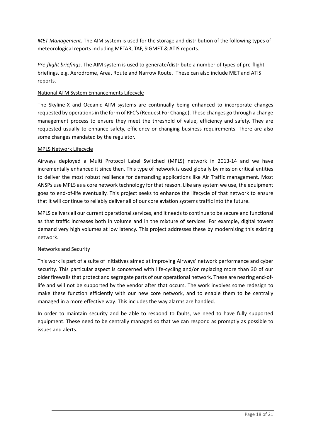*MET Management*. The AIM system is used for the storage and distribution of the following types of meteorological reports including METAR, TAF, SIGMET & ATIS reports.

*Pre-flight briefings*. The AIM system is used to generate/distribute a number of types of pre-flight briefings, e.g. Aerodrome, Area, Route and Narrow Route. These can also include MET and ATIS reports.

#### National ATM System Enhancements Lifecycle

The Skyline-X and Oceanic ATM systems are continually being enhanced to incorporate changes requested by operations in the form of RFC's (Request For Change). These changes go through a change management process to ensure they meet the threshold of value, efficiency and safety. They are requested usually to enhance safety, efficiency or changing business requirements. There are also some changes mandated by the regulator.

#### MPLS Network Lifecycle

Airways deployed a Multi Protocol Label Switched (MPLS) network in 2013-14 and we have incrementally enhanced it since then. This type of network is used globally by mission critical entities to deliver the most robust resilience for demanding applications like Air Traffic management. Most ANSPs use MPLS as a core network technology for that reason. Like any system we use, the equipment goes to end-of-life eventually. This project seeks to enhance the lifecycle of that network to ensure that it will continue to reliably deliver all of our core aviation systems traffic into the future.

MPLS delivers all our current operational services, and it needs to continue to be secure and functional as that traffic increases both in volume and in the mixture of services. For example, digital towers demand very high volumes at low latency. This project addresses these by modernising this existing network.

#### Networks and Security

This work is part of a suite of initiatives aimed at improving Airways' network performance and cyber security. This particular aspect is concerned with life-cycling and/or replacing more than 30 of our older firewalls that protect and segregate parts of our operational network. These are nearing end-oflife and will not be supported by the vendor after that occurs. The work involves some redesign to make these function efficiently with our new core network, and to enable them to be centrally managed in a more effective way. This includes the way alarms are handled.

In order to maintain security and be able to respond to faults, we need to have fully supported equipment. These need to be centrally managed so that we can respond as promptly as possible to issues and alerts.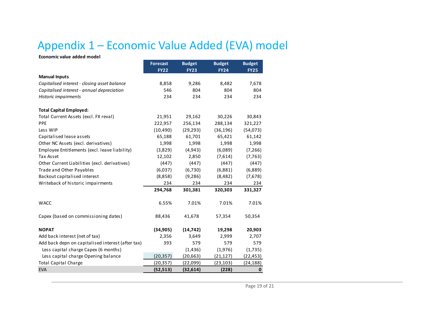## Appendix 1 – Economic Value Added (EVA) model

**Economic value added model**

#### <span id="page-18-0"></span>**Forecast Budget Budget Budget FY22 FY23 FY24 FY25 Manual Inputs** *Capitalised interest - closing asset balance* 8,858 9,286 8,482 7,678 *Capitalised interest - annual depreciation* 546 804 804 804 *Historic impairments* 234 234 234 234 **Total Capital Employed:** Total Current Assets (excl. FX reval) 21,951 29,162 30,226 30,843 PPE 222,957 256,134 288,134 321,227 Less WIP (10,490) (29,293) (36,196) (54,073) Capitalised lease assets 65,188 61,701 65,421 61,142 Other NC Assets (excl. derivatives) 1,998 1,998 1,998 1,998 1,998 1,998 Employee Entitlements (excl. leave liability) (3,829) (4,943) (6,089) (7,266) Tax Asset 12,102 2,850 (7,614) (7,763) Other Current Liabilities (excl. derivatives) (447) (447) (447) (447) Trade and Other Payables (6,037) (6,730) (6,881) (6,889) Backout capitalised interest (8,858) (9,286) (8,482) (7,678) Writeback of historic impairments 234 234 234 234 **294,768 301,381 320,303 331,327** WACC 6.55% 7.01% 7.01% 7.01% Capex (based on commissioning dates) 88,436 41,678 57,354 50,354 **NOPAT (34,905) (14,742) 19,298 20,903** Add back interest (net of tax) 2,356 3,649 2,999 2,707 Add back depn on capitalised interest (after tax) 393 579 579 579 579 Less capital charge Capex (6 months) (1,436) (1,976) (1,735) Less capital charge Opening balance (20,357) (20,663) (21,127) (22,453) Total Capital Charge (20,357) (22,099) (23,103) (24,188) EVA **(52,513) (32,614) (228) 0**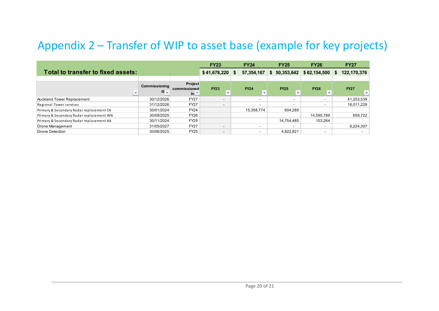## Appendix 2 – Transfer of WIP to asset base (example for key projects)

<span id="page-19-0"></span>

|                                          |                      |                                | <b>FY23</b>              |                  | <b>FY24</b>              | <b>FY25</b>              | <b>FY26</b> | <b>FY27</b> |                          |
|------------------------------------------|----------------------|--------------------------------|--------------------------|------------------|--------------------------|--------------------------|-------------|-------------|--------------------------|
| Total to transfer to fixed assets:       | \$41,678,220         | S                              | 57,354,167               | 50,353,642<br>S. | \$62,154,500             | S.                       | 122,170,376 |             |                          |
|                                          |                      |                                |                          |                  |                          |                          |             |             |                          |
|                                          | <b>Commissioning</b> | <b>Project</b><br>commissioned | <b>FY23</b>              |                  | <b>FY24</b>              | <b>FY25</b>              | <b>FY26</b> |             | <b>FY27</b>              |
|                                          | $di =$               | $\ln$ $\overline{ }$           | $\overline{\phantom{a}}$ |                  | $\overline{\phantom{a}}$ | $\overline{\phantom{a}}$ |             |             | $\overline{\phantom{a}}$ |
| <b>Auckland Tower Replacement</b>        | 30/12/2026           | <b>FY27</b>                    | $\overline{\phantom{a}}$ |                  | $\sim$                   | -                        |             |             | 41,253,539               |
| Regional Tower services                  | 31/12/2026           | <b>FY27</b>                    | $\overline{\phantom{a}}$ |                  | $\overline{\phantom{a}}$ |                          |             |             | 16.011.229               |
| Primary & Secondary Radar replacement CH | 30/01/2024           | <b>FY24</b>                    |                          |                  | 15,358,774               | 604,289                  |             |             |                          |
| Primary & Secondary Radar replacement WN | 30/09/2025           | <b>FY26</b>                    |                          |                  |                          |                          | 14,595,789  |             | 659.722                  |
| Primary & Secondary Radar replacement AA | 30/11/2024           | <b>FY25</b>                    |                          |                  |                          | 14,754,485               | 103,264     |             |                          |
| Drone Management                         | 31/05/2027           | <b>FY27</b>                    | $\overline{\phantom{a}}$ |                  | $\overline{\phantom{a}}$ |                          |             |             | 6,224,307                |
| Drone Detection                          | 30/06/2025           | <b>FY25</b>                    | $\overline{\phantom{a}}$ |                  | $\sim$                   | 4,822,821                |             |             |                          |